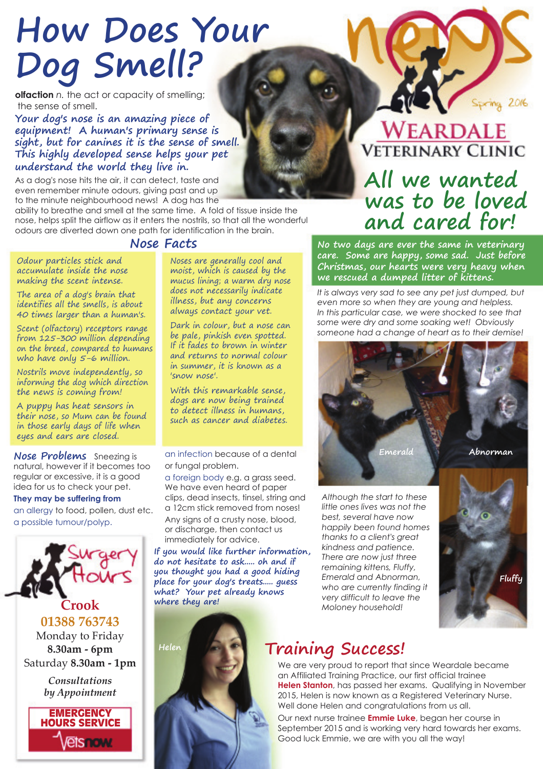# **How Does Your Dog Smell?**

**olfaction** *n.* the act or capacity of smelling; the sense of smell.

**Your dog's nose is an amazing piece of equipment! A human's primary sense is sight, but for canines it is the sense of smell. This highly developed sense helps your pet understand the world they live in.**

As a dog's nose hits the air, it can detect, taste and even remember minute odours, giving past and up to the minute neighbourhood news! A dog has the

ability to breathe and smell at the same time. A fold of tissue inside the nose, helps split the airflow as it enters the nostrils, so that all the wonderful odours are diverted down one path for identification in the brain.

#### **Nose Facts**

Odour particles stick and accumulate inside the nose making the scent intense.

The area of a dog's brain that identifies all the smells, is about 40 times larger than a human's.

Scent (olfactory) receptors range from 125-300 million depending on the breed, compared to humans who have only 5-6 million.

Nostrils move independently, so informing the dog which direction the news is coming from!

A puppy has heat sensors in their nose, so Mum can be found in those early days of life when eyes and ears are closed.

**Nose Problems** Sneezing is natural, however if it becomes too regular or excessive, it is a good idea for us to check your pet.

#### **They may be suffering from**

an allergy to food, pollen, dust etc. a possible tumour/polyp.



Monday to Friday **8.30am - 6pm** Saturday **8.30am - 1pm**

> *Consultations by Appointment*



Noses are generally cool and moist, which is caused by the mucus lining; a warm dry nose does not necessarily indicate illness, but any concerns always contact your vet.

Dark in colour, but a nose can be pale, pinkish even spotted. If it fades to brown in winter and returns to normal colour in summer, it is known as a 'snow nose'.

With this remarkable sense, dogs are now being trained to detect illness in humans, such as cancer and diabetes.

an infection because of a dental or fungal problem.

a foreign body e.g. a grass seed. We have even heard of paper clips, dead insects, tinsel, string and a 12cm stick removed from noses!

Any signs of a crusty nose, blood, or discharge, then contact us immediately for advice.

**If you would like further information, do not hesitate to ask..... oh and if you thought you had a good hiding place for your dog's treats..... guess what? Your pet already knows where they are!**



**WEARDALE VETERINARY CLINIC** 

## **All we wanted was to be loved and cared for!**

**No two days are ever the same in veterinary care. Some are happy, some sad. Just before Christmas, our hearts were very heavy when we rescued a dumped litter of kittens.**

*It is always very sad to see any pet just dumped, but even more so when they are young and helpless. In this particular case, we were shocked to see that some were dry and some soaking wet! Obviously someone had a change of heart as to their demise!* 



*Although the start to these little ones lives was not the best, several have now happily been found homes thanks to a client's great kindness and patience. There are now just three remaining kittens, Fluffy, Emerald and Abnorman, who are currently finding it very difficult to leave the Moloney household!*



### **Training Success! Helen**

We are very proud to report that since Weardale became an Affiliated Training Practice, our first official trainee **Helen Stanton**, has passed her exams. Qualifying in November 2015, Helen is now known as a Registered Veterinary Nurse. Well done Helen and congratulations from us all.

Our next nurse trainee **Emmie Luke**, began her course in September 2015 and is working very hard towards her exams. Good luck Emmie, we are with you all the way!